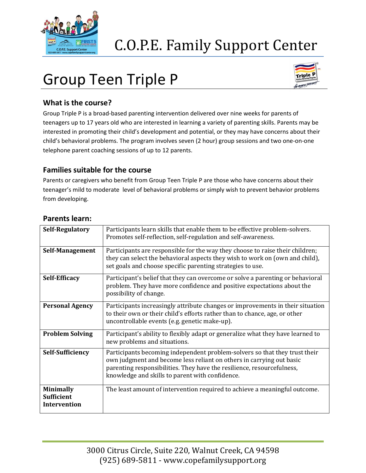

## C.O.P.E. Family Support Center

# Group Teen Triple P



#### **What is the course?**

Group Triple P is a broad-based parenting intervention delivered over nine weeks for parents of teenagers up to 17 years old who are interested in learning a variety of parenting skills. Parents may be interested in promoting their child's development and potential, or they may have concerns about their child's behavioral problems. The program involves seven (2 hour) group sessions and two one-on-one telephone parent coaching sessions of up to 12 parents.

#### **Families suitable for the course**

Parents or caregivers who benefit from Group Teen Triple P are those who have concerns about their teenager's mild to moderate level of behavioral problems or simply wish to prevent behavior problems from developing.

| Self-Regulatory                                       | Participants learn skills that enable them to be effective problem-solvers.<br>Promotes self-reflection, self-regulation and self-awareness.                                                                                                                                    |
|-------------------------------------------------------|---------------------------------------------------------------------------------------------------------------------------------------------------------------------------------------------------------------------------------------------------------------------------------|
| Self-Management                                       | Participants are responsible for the way they choose to raise their children;<br>they can select the behavioral aspects they wish to work on (own and child),<br>set goals and choose specific parenting strategies to use.                                                     |
| <b>Self-Efficacy</b>                                  | Participant's belief that they can overcome or solve a parenting or behavioral<br>problem. They have more confidence and positive expectations about the<br>possibility of change.                                                                                              |
| <b>Personal Agency</b>                                | Participants increasingly attribute changes or improvements in their situation<br>to their own or their child's efforts rather than to chance, age, or other<br>uncontrollable events (e.g. genetic make-up).                                                                   |
| <b>Problem Solving</b>                                | Participant's ability to flexibly adapt or generalize what they have learned to<br>new problems and situations.                                                                                                                                                                 |
| <b>Self-Sufficiency</b>                               | Participants becoming independent problem-solvers so that they trust their<br>own judgment and become less reliant on others in carrying out basic<br>parenting responsibilities. They have the resilience, resourcefulness,<br>knowledge and skills to parent with confidence. |
| <b>Minimally</b><br><b>Sufficient</b><br>Intervention | The least amount of intervention required to achieve a meaningful outcome.                                                                                                                                                                                                      |

#### **Parents learn:**